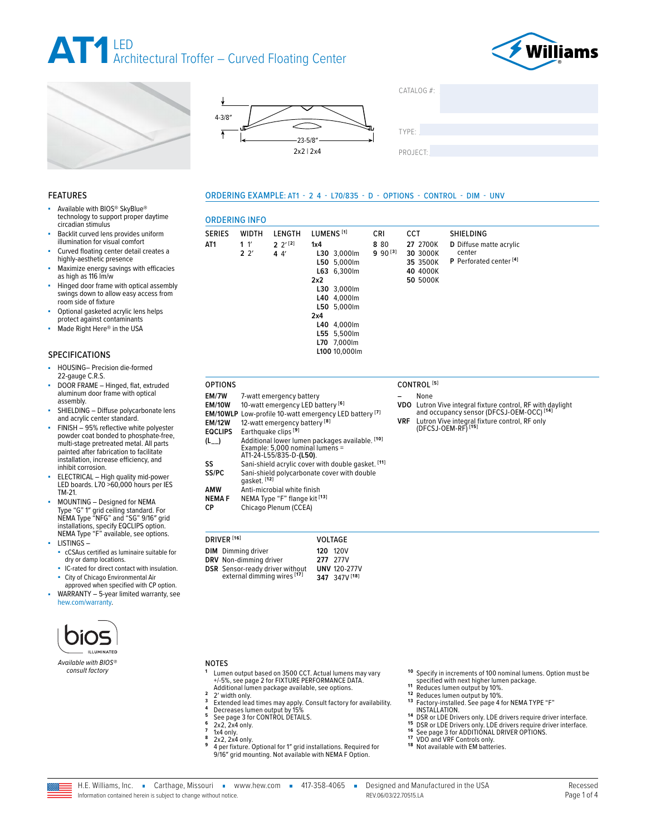









## ORDERING EXAMPLE: AT1 - 2 4 - L70/835 - D - OPTIONS - CONTROL - DIM - UNV

# ORDERING INFO

| <b>SERIES</b>   | <b>WIDTH</b>              | LENGTH                                   | LUMENS <sup>[1]</sup>                                                                                                                                                        | <b>CRI</b>          | <b>CCT</b> |                                                          | <b>SHIELDING</b>                                                        |
|-----------------|---------------------------|------------------------------------------|------------------------------------------------------------------------------------------------------------------------------------------------------------------------------|---------------------|------------|----------------------------------------------------------|-------------------------------------------------------------------------|
| AT <sub>1</sub> | 1 <sup>1</sup><br>$2^{2}$ | $2^{12}$<br>44'                          | 1x4<br>L30 3,000lm<br>L50 5.000lm<br>$L63$ 6,300 lm<br>2x2<br>L30 3,000lm<br>L40 4,000lm<br>L50 5,000lm<br>2x4<br>L40 4,000lm<br>L55 5,500lm<br>L70 7.000lm<br>L100 10.000lm | 8 80<br>$990^{[3]}$ |            | 27 2700K<br>30 3000K<br>35 3500K<br>40 4000K<br>50 5000K | D Diffuse matte acrylic<br>center<br>P Perforated center <sup>[4]</sup> |
| <b>OPTIONS</b>  |                           |                                          |                                                                                                                                                                              |                     |            | CONTROL <sup>[5]</sup>                                   |                                                                         |
| EM/7W           |                           | 7-watt emergency battery                 |                                                                                                                                                                              |                     |            | None                                                     |                                                                         |
| <b>EM/10W</b>   |                           |                                          | 10-watt emergency LED battery [6]                                                                                                                                            |                     |            |                                                          | VDO Lutron Vive integral fixture control, RF with daylight              |
|                 |                           |                                          | <b>EM/10WLP</b> Low-profile 10-watt emergency LED battery <sup>[7]</sup>                                                                                                     |                     |            |                                                          | and occupancy sensor (DFCSJ-OEM-OCC) <sup>[14]</sup>                    |
| <b>EM/12W</b>   |                           | 12-watt emergency battery <sup>[8]</sup> |                                                                                                                                                                              |                     | VRF        |                                                          | Lutron Vive integral fixture control, RF only                           |
| <b>EQCLIPS</b>  |                           | Earthquake clips <sup>[9]</sup>          |                                                                                                                                                                              |                     |            |                                                          | (DFCSJ-OEM-RF) <sup>[15]</sup>                                          |
| $(L_{--})$      |                           | AT1-24-L55/835-D-(L50).                  | Additional lower lumen packages available. [10]<br>Example: 5,000 nominal lumens =                                                                                           |                     |            |                                                          |                                                                         |
| SS              |                           |                                          | Sani-shield acrylic cover with double gasket. [11]                                                                                                                           |                     |            |                                                          |                                                                         |
| SS/PC           | gasket. <sup>[12]</sup>   |                                          | Sani-shield polycarbonate cover with double                                                                                                                                  |                     |            |                                                          |                                                                         |

FEATURES

technology to support proper daytime circadian stimulus Backlit curved lens provides uniform illumination for visual comfort

Available with BIOS® SkyBlue®

- Curved floating center detail creates a highly-aesthetic presence
- Maximize energy savings with efficacies as high as 116 lm/w
- Hinged door frame with optical assembly swings down to allow easy access from room side of fixture
- Optional gasketed acrylic lens helps protect against contaminants
- Made Right Here® in the USA

# SPECIFICATIONS

- HOUSING- Precision die-formed 22-gauge C.R.S.
- DOOR FRAME Hinged, flat, extruded aluminum door frame with optical assembly.
- SHIELDING Diffuse polycarbonate lens and acrylic center standard.

FINISH - 95% reflective white polyester powder coat bonded to phosphate-free, multi-stage pretreated metal. All parts painted after fabrication to facilitate installation, increase efficiency, and inhibit corrosion.

- ELECTRICAL High quality mid-power LED boards. L70 >60,000 hours per IES TM-21.
- MOUNTING Designed for NEMA Type "G" 1″ grid ceiling standard. For NEMA Type "NFG" and "SG" 9/16″ grid installations, specify EQCLIPS option. NEMA Type "F" available, see options. LISTINGS –
- cCSAus certified as luminaire suitable for dry or damp locations.
- IC-rated for direct contact with insulation.
- City of Chicago Environmental Air approved when specified with CP option.
- WARRANTY 5-year limited warranty, see [hew.com/warranty.](https://www.hew.com/resources/warranty-and-terms)



*Available with BIOS® consult factory*

## NOTES

- **<sup>1</sup>** Lumen output based on 3500 CCT. Actual lumens may vary Lumen output based on 3500 CCT. Actual lumens may<br>+/-5%, [see page 2 for FIXTURE PERFORMANCE DATA](#page-1-0).<br>Additional lumen package available, see options.
- 

**AMW** Anti-microbial white finish<br>**NEMA F** NEMA Type "F" flange kit <sup>[</sup> **NEMA F** NEMA Type "F" flange kit [13]<br> **CP** Chicago Plenum (CCEA) Chicago Plenum (CCEA)

**DIM** Dimming driver **DRV** Non-dimming driver **DSR** Sensor-ready driver without external dimming wires **[17]**

DRIVER **[16]** VOLTAGE

**120** 120V **277** 277V **UNV** 120-277V **347** 347V **[18]**

- 2<br>
2 Width only.<br>
3 Extended lead times may apply. Consult factory for availability.<br>
4 Decreases lumen output by 15%<br>
5 [See page 3 for CONTROL DETAILS.](#page-2-0)<br>
6 2x2, 2x4 only.<br>
7 1x4 only.<br>
8 2x2, 2x4 only.<br>
8 2x2, 2x4 only.<br>
8
- 
- 
- 
- 
- 9/16″ grid mounting. Not available with NEMA F Option.
- **<sup>10</sup>** Specify in increments of 100 nominal lumens. Option must be <br> **..** specified with next higher lumen package.
- 
- 
- <sup>11</sup> Reduces lumen output by 10%.<br>
<sup>12</sup> Reduces lumen output by 10%.<br>
<sup>13</sup> Factory-installed. See page 4 for NEMA TYPE "F"<br> **12** INSTALLATION.
- <sup>14</sup> IDSI ALLATION.<br>
<sup>14</sup> DSR or LDE Drivers only. LDE drivers require driver interface.<br>
<sup>15</sup> DSR or LDE Drivers only. LDE drivers require driver interface.<br>
<sup>16</sup> VDO and VRF Controls only.<br>
<sup>17</sup> VDO and VRF Controls only
- 
- 
- 
- 

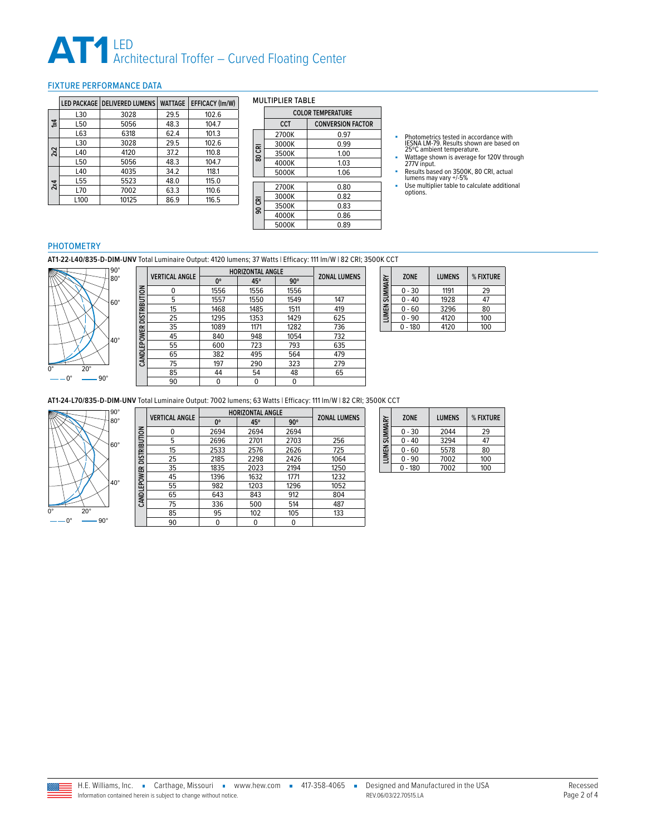# **AT1** LED<br>Architectural Troffer – Curved Floating Center

# <span id="page-1-0"></span>FIXTURE PERFORMANCE DATA

|              |      | LED PACKAGE   DELIVERED LUMENS | <b>WATTAGE</b> | <b>EFFICACY (Im/W)</b> |
|--------------|------|--------------------------------|----------------|------------------------|
|              | L30  | 3028                           | 29.5           | 102.6                  |
| $\mathbf{z}$ | L50  | 5056                           | 48.3           | 104.7                  |
|              | L63  | 6318                           | 62.4           | 101.3                  |
|              | L30  | 3028                           | 29.5           | 102.6                  |
| 2x2          | L40  | 4120                           | 37.2           | 110.8                  |
|              | L50  | 5056                           | 48.3           | 104.7                  |
|              | L40  | 4035                           | 34.2           | 118.1                  |
| 2x4          | L55  | 5523                           | 48.0           | 115.0                  |
|              | L70  | 7002                           | 63.3           | 110.6                  |
|              | L100 | 10125                          | 86.9           | 116.5                  |

### MULTIPLIER TABLE

|        | <b>COLOR TEMPERATURE</b> |                          |  |  |  |  |  |
|--------|--------------------------|--------------------------|--|--|--|--|--|
|        | <b>CCT</b>               | <b>CONVERSION FACTOR</b> |  |  |  |  |  |
|        | 2700K                    | 0.97                     |  |  |  |  |  |
|        | 3000K                    | 0.99                     |  |  |  |  |  |
| 80 CRI | 3500K                    | 1.00                     |  |  |  |  |  |
|        | 4000K                    | 1.03                     |  |  |  |  |  |
|        | 5000K                    | 1.06                     |  |  |  |  |  |
|        | 2700K                    | 0.80                     |  |  |  |  |  |
|        |                          |                          |  |  |  |  |  |
|        | 3000K                    | 0.82                     |  |  |  |  |  |
| 90 CRI | 3500K                    | 0.83                     |  |  |  |  |  |
|        | 4000K                    | 0.86                     |  |  |  |  |  |
|        | 5000K                    | 0.89                     |  |  |  |  |  |

- Photometrics tested in accordance with<br>IESNA LM-79. Results shown are based on<br>25℃ ambient temperature.<br>■ Wattage shown is average for 120V through<br>277V input.
- 
- 
- Results based on 3500K, 80 CRI, actual<br>lumens may vary +/-5%<br>■ Use multiplier table to calculate additional<br>options.

### PHOTOMETRY

**AT1-22-L40/835-D-DIM-UNV** Total Luminaire Output: 4120 lumens; 37 Watts | Efficacy: 111 lm/W | 82 CRI; 3500K CCT



|                          | <b>VERTICAL ANGLE</b> | <b>HORIZONTAL ANGLE</b> | <b>ZONAL LUMENS</b> |            |     |
|--------------------------|-----------------------|-------------------------|---------------------|------------|-----|
|                          |                       | 0°                      | 45°                 | $90^\circ$ |     |
| CANDLEPOWER DISTRIBUTION | 0                     | 1556                    | 1556                | 1556       |     |
|                          | 5                     | 1557                    | 1550                | 1549       | 147 |
|                          | 15                    | 1468                    | 1485                | 1511       | 419 |
|                          | 25                    | 1295                    | 1353                | 1429       | 625 |
|                          | 35                    | 1089                    | 1171                | 1282       | 736 |
|                          | 45                    | 840                     | 948                 | 1054       | 732 |
|                          | 55                    | 600                     | 723                 | 793        | 635 |
|                          | 65                    | 382                     | 495                 | 564        | 479 |
|                          | 75                    | 197                     | 290                 | 323        | 279 |
|                          | 85                    | 44                      | 54                  | 48         | 65  |
|                          | 90                    | 0                       | 0                   | 0          |     |

|  |                     | <b>ZONE</b> | <b>LUMENS</b> | % FIXTURE |
|--|---------------------|-------------|---------------|-----------|
|  |                     | $0 - 30$    | 1191          | 29        |
|  | <b>UMEN SUMMARY</b> | - 40        | 1928          | 47        |
|  |                     | $0 - 60$    | 3296          | 80        |
|  |                     | $0 - 90$    | 4120          | 100       |
|  |                     | $-180$      | 4120          | 100       |

**AT1-24-L70/835-D-DIM-UNV** Total Luminaire Output: 7002 lumens; 63 Watts | Efficacy: 111 lm/W | 82 CRI; 3500K CCT



|                     | <b>VERTICAL ANGLE</b> | <b>HORIZONTAL ANGLE</b> | <b>ZONAL LUMENS</b> |            |      |
|---------------------|-----------------------|-------------------------|---------------------|------------|------|
|                     |                       | 0°                      | 45°                 | $90^\circ$ |      |
| <b>DISTRIBUTION</b> | 0                     | 2694                    | 2694                | 2694       |      |
|                     | 5                     | 2696                    | 2701                | 2703       | 256  |
|                     | 15                    | 2533                    | 2576                | 2626       | 725  |
|                     | 25                    | 2185                    | 2298                | 2426       | 1064 |
|                     | 35                    | 1835                    | 2023                | 2194       | 1250 |
|                     | 45                    | 1396                    | 1632                | 1771       | 1232 |
| CANDLEPOWER         | 55                    | 982                     | 1203                | 1296       | 1052 |
|                     | 65                    | 643                     | 843                 | 912        | 804  |
|                     | 75                    | 336                     | 500                 | 514        | 487  |
|                     | 85                    | 95                      | 102                 | 105        | 133  |
|                     | 90                    | 0                       |                     | 0          |      |

| <b>LUMEN SUMMARY</b> | <b>ZONE</b> | <b>LUMENS</b> | % FIXTURE |
|----------------------|-------------|---------------|-----------|
|                      | $0 - 30$    | 2044          | 29        |
|                      | $0 - 40$    | 3294          | 47        |
|                      | $0 - 60$    | 5578          | 80        |
|                      | $0 - 90$    | 7002          | 100       |
|                      | $0 - 180$   | 7002          | 100       |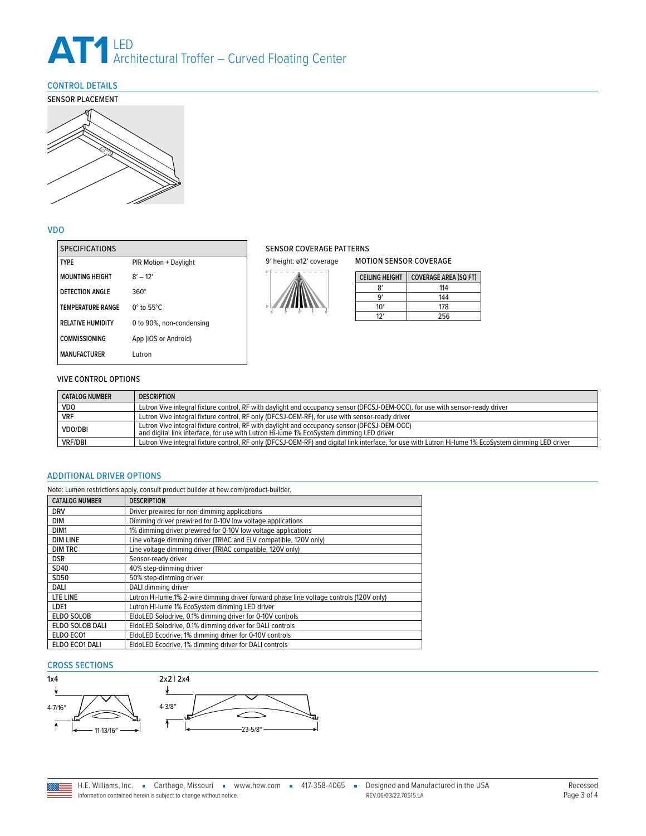# **AT1** LED<br>Architectural Troffer – Curved Floating Center

# <span id="page-2-0"></span>CONTROL DETAILS



# VDO

| <b>SPECIFICATIONS</b>    |                             |
|--------------------------|-----------------------------|
| <b>TYPF</b>              | PIR Motion + Daylight       |
| <b>MOUNTING HEIGHT</b>   | $8' - 12'$                  |
| DETECTION ANGLE          | $360^\circ$                 |
| <b>TEMPERATURE RANGE</b> | $0^\circ$ to 55 $^\circ$ C. |
| <b>RELATIVE HUMIDITY</b> | 0 to 90%, non-condensing    |
| <b>COMMISSIONING</b>     | App (iOS or Android)        |
| <b>MANUFACTURFR</b>      | Lutron                      |

# SENSOR COVERAGE PATTERNS

9' height: ø12' coverage



| <b>CEILING HEIGHT</b> | <b>COVERAGE AREA (SQ FT)</b> |
|-----------------------|------------------------------|
| R'                    | 114                          |
| ۹                     | 144                          |
| 10'                   | 178                          |
|                       | 256                          |

MOTION SENSOR COVERAGE

# VIVE CONTROL OPTIONS

| <b>CATALOG NUMBER</b> | <b>DESCRIPTION</b>                                                                                                                                                                     |
|-----------------------|----------------------------------------------------------------------------------------------------------------------------------------------------------------------------------------|
| <b>VDO</b>            | Lutron Vive integral fixture control, RF with daylight and occupancy sensor (DFCSJ-OEM-OCC), for use with sensor-ready driver                                                          |
| <b>VRF</b>            | Lutron Vive integral fixture control, RF only (DFCSJ-OEM-RF), for use with sensor-ready driver                                                                                         |
| <b>VDO/DBI</b>        | Lutron Vive integral fixture control, RF with daylight and occupancy sensor (DFCSJ-OEM-OCC)<br>and digital link interface, for use with Lutron Hi-lume 1% EcoSystem dimming LED driver |
| <b>VRF/DBI</b>        | Lutron Vive integral fixture control, RF only (DFCSJ-OEM-RF) and digital link interface, for use with Lutron Hi-lume 1% EcoSystem dimming LED driver                                   |

# <span id="page-2-1"></span>ADDITIONAL DRIVER OPTIONS

| Note: Lumen restrictions apply, consult product builder at hew.com/product-builder. |                                                                                         |  |  |  |
|-------------------------------------------------------------------------------------|-----------------------------------------------------------------------------------------|--|--|--|
| <b>CATALOG NUMBER</b>                                                               | <b>DESCRIPTION</b>                                                                      |  |  |  |
| <b>DRV</b>                                                                          | Driver prewired for non-dimming applications                                            |  |  |  |
| DIM                                                                                 | Dimming driver prewired for 0-10V low voltage applications                              |  |  |  |
| DIM1                                                                                | 1% dimming driver prewired for 0-10V low voltage applications                           |  |  |  |
| <b>DIM LINE</b>                                                                     | Line voltage dimming driver (TRIAC and ELV compatible, 120V only)                       |  |  |  |
| <b>DIM TRC</b>                                                                      | Line voltage dimming driver (TRIAC compatible, 120V only)                               |  |  |  |
| <b>DSR</b>                                                                          | Sensor-ready driver                                                                     |  |  |  |
| SD40                                                                                | 40% step-dimming driver                                                                 |  |  |  |
| SD50                                                                                | 50% step-dimming driver                                                                 |  |  |  |
| DALI                                                                                | DALI dimming driver                                                                     |  |  |  |
| LTE LINE                                                                            | Lutron Hi-lume 1% 2-wire dimming driver forward phase line voltage controls (120V only) |  |  |  |
| LDE1                                                                                | Lutron Hi-lume 1% EcoSystem dimming LED driver                                          |  |  |  |
| ELDO SOLOB                                                                          | EldoLED Solodrive, 0.1% dimming driver for 0-10V controls                               |  |  |  |
| ELDO SOLOB DALI                                                                     | EldoLED Solodrive, 0.1% dimming driver for DALI controls                                |  |  |  |
| ELDO ECO1                                                                           | EldoLED Ecodrive, 1% dimming driver for 0-10V controls                                  |  |  |  |
| ELDO ECO1 DALI                                                                      | EldoLED Ecodrive, 1% dimming driver for DALI controls                                   |  |  |  |

# CROSS SECTIONS



| H.E. Williams, Inc. | ■ Carthage, Missouri                                              | п | www.hew.com ■ | 417-358-4065 | Designed and Manufactured in the USA |
|---------------------|-------------------------------------------------------------------|---|---------------|--------------|--------------------------------------|
|                     | Information contained herein is subject to change without notice. |   |               |              | REV.06/03/22.70515.LA                |